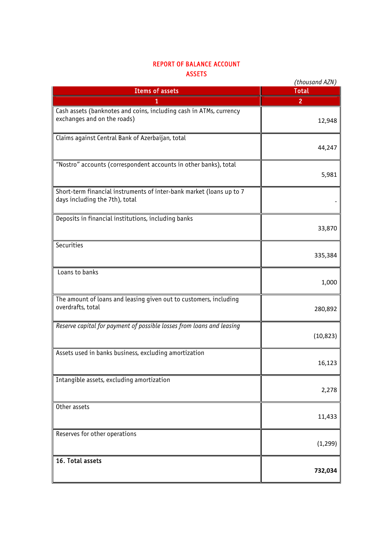## REPORT OF BALANCE ACCOUNT ASSETS

|                                                                                                        | (thousand AZN) |
|--------------------------------------------------------------------------------------------------------|----------------|
| <b>Items of assets</b>                                                                                 | <b>Total</b>   |
|                                                                                                        | 2              |
| Cash assets (banknotes and coins, including cash in ATMs, currency<br>exchanges and on the roads)      | 12,948         |
| Claims against Central Bank of Azerbaijan, total                                                       | 44,247         |
| "Nostro" accounts (correspondent accounts in other banks), total                                       | 5,981          |
| Short-term financial instruments of inter-bank market (loans up to 7<br>days including the 7th), total |                |
| Deposits in financial institutions, including banks                                                    | 33,870         |
| Securities                                                                                             | 335,384        |
| Loans to banks                                                                                         | 1,000          |
| The amount of loans and leasing given out to customers, including<br>overdrafts, total                 | 280,892        |
| Reserve capital for payment of possible losses from loans and leasing                                  | (10, 823)      |
| Assets used in banks business, excluding amortization                                                  | 16,123         |
| Intangible assets, excluding amortization                                                              | 2,278          |
| Other assets                                                                                           | 11,433         |
| Reserves for other operations                                                                          | (1, 299)       |
| 16. Total assets                                                                                       | 732,034        |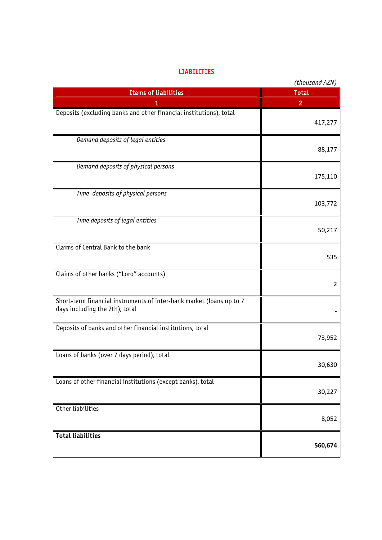## LIABILITIES

|                                                                                                        | (thousand AZN) |
|--------------------------------------------------------------------------------------------------------|----------------|
| <b>Items of liabilities</b>                                                                            | <b>Total</b>   |
| 1                                                                                                      | $\overline{c}$ |
| Deposits (excluding banks and other financial institutions), total                                     | 417,277        |
| Demand deposits of legal entities                                                                      | 88,177         |
| Demand deposits of physical persons                                                                    | 175,110        |
| Time deposits of physical persons                                                                      | 103,772        |
| Time deposits of legal entities                                                                        | 50,217         |
| Claims of Central Bank to the bank                                                                     | 535            |
| Claims of other banks ("Loro" accounts)                                                                | 2              |
| Short-term financial instruments of inter-bank market (loans up to 7<br>days including the 7th), total |                |
| Deposits of banks and other financial institutions, total                                              | 73,952         |
| Loans of banks (over 7 days period), total                                                             | 30,630         |
| Loans of other financial institutions (except banks), total                                            | 30,227         |
| Other liabilities                                                                                      | 8,052          |
| <b>Total liabilities</b>                                                                               | 560,674        |